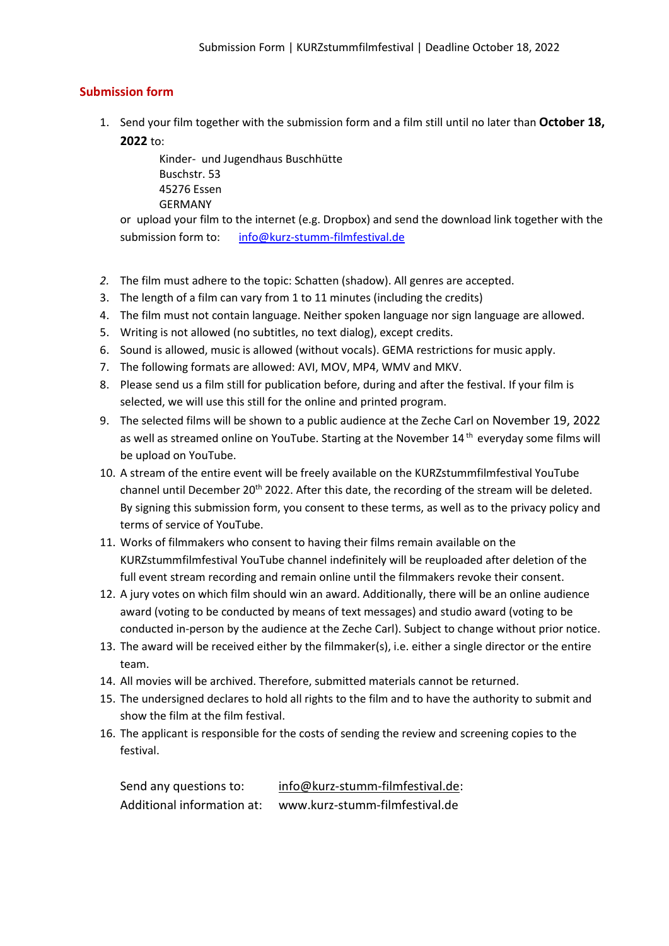## **Submission form**

1. Send your film together with the submission form and a film still until no later than **October 18, 2022** to:

> Kinder- und Jugendhaus Buschhütte Buschstr. 53 45276 Essen GERMANY

or upload your film to the internet (e.g. Dropbox) and send the download link together with the submission form to: [info@kurz-stumm-filmfestival.de](mailto:info@kurz-stumm-filmfestival.de)

- *2.* The film must adhere to the topic: Schatten (shadow). All genres are accepted.
- 3. The length of a film can vary from 1 to 11 minutes (including the credits)
- 4. The film must not contain language. Neither spoken language nor sign language are allowed.
- 5. Writing is not allowed (no subtitles, no text dialog), except credits.
- 6. Sound is allowed, music is allowed (without vocals). GEMA restrictions for music apply.
- 7. The following formats are allowed: AVI, MOV, MP4, WMV and MKV.
- 8. Please send us a film still for publication before, during and after the festival. If your film is selected, we will use this still for the online and printed program.
- 9. The selected films will be shown to a public audience at the Zeche Carl on November 19, 2022 as well as streamed online on YouTube. Starting at the November 14<sup>th</sup> everyday some films will be upload on YouTube.
- 10. A stream of the entire event will be freely available on the KURZstummfilmfestival YouTube channel until December 20<sup>th</sup> 2022. After this date, the recording of the stream will be deleted. By signing this submission form, you consent to these terms, as well as to the privacy policy and terms of service of YouTube.
- 11. Works of filmmakers who consent to having their films remain available on the KURZstummfilmfestival YouTube channel indefinitely will be reuploaded after deletion of the full event stream recording and remain online until the filmmakers revoke their consent.
- 12. A jury votes on which film should win an award. Additionally, there will be an online audience award (voting to be conducted by means of text messages) and studio award (voting to be conducted in-person by the audience at the Zeche Carl). Subject to change without prior notice.
- 13. The award will be received either by the filmmaker(s), i.e. either a single director or the entire team.
- 14. All movies will be archived. Therefore, submitted materials cannot be returned.
- 15. The undersigned declares to hold all rights to the film and to have the authority to submit and show the film at the film festival.
- 16. The applicant is responsible for the costs of sending the review and screening copies to the festival.

| Send any questions to:     | info@kurz-stumm-filmfestival.de: |
|----------------------------|----------------------------------|
| Additional information at: | www.kurz-stumm-filmfestival.de   |